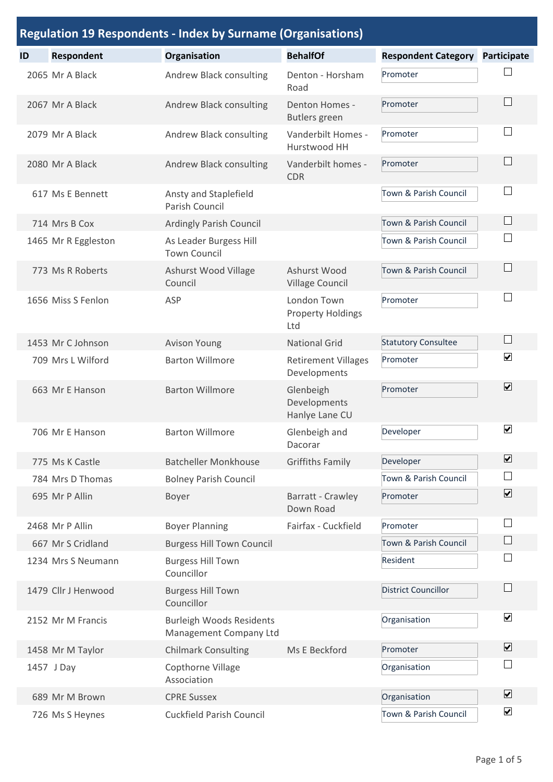|    | <b>Regulation 19 Respondents - Index by Surname (Organisations)</b> |                                                           |                                                |                            |                         |  |  |
|----|---------------------------------------------------------------------|-----------------------------------------------------------|------------------------------------------------|----------------------------|-------------------------|--|--|
| ID | <b>Respondent</b>                                                   | Organisation                                              | <b>BehalfOf</b>                                | <b>Respondent Category</b> | Participate             |  |  |
|    | 2065 Mr A Black                                                     | Andrew Black consulting                                   | Denton - Horsham<br>Road                       | Promoter                   |                         |  |  |
|    | 2067 Mr A Black                                                     | Andrew Black consulting                                   | <b>Denton Homes -</b><br><b>Butlers</b> green  | Promoter                   |                         |  |  |
|    | 2079 Mr A Black                                                     | Andrew Black consulting                                   | Vanderbilt Homes -<br>Hurstwood HH             | Promoter                   |                         |  |  |
|    | 2080 Mr A Black                                                     | Andrew Black consulting                                   | Vanderbilt homes -<br><b>CDR</b>               | Promoter                   |                         |  |  |
|    | 617 Ms E Bennett                                                    | Ansty and Staplefield<br>Parish Council                   |                                                | Town & Parish Council      |                         |  |  |
|    | 714 Mrs B Cox                                                       | Ardingly Parish Council                                   |                                                | Town & Parish Council      |                         |  |  |
|    | 1465 Mr R Eggleston                                                 | As Leader Burgess Hill<br><b>Town Council</b>             |                                                | Town & Parish Council      |                         |  |  |
|    | 773 Ms R Roberts                                                    | Ashurst Wood Village<br>Council                           | Ashurst Wood<br><b>Village Council</b>         | Town & Parish Council      |                         |  |  |
|    | 1656 Miss S Fenlon                                                  | ASP                                                       | London Town<br><b>Property Holdings</b><br>Ltd | Promoter                   |                         |  |  |
|    | 1453 Mr C Johnson                                                   | <b>Avison Young</b>                                       | <b>National Grid</b>                           | <b>Statutory Consultee</b> | $\mathbb{R}^n$          |  |  |
|    | 709 Mrs L Wilford                                                   | <b>Barton Willmore</b>                                    | <b>Retirement Villages</b><br>Developments     | Promoter                   | $\blacktriangledown$    |  |  |
|    | 663 Mr E Hanson                                                     | <b>Barton Willmore</b>                                    | Glenbeigh<br>Developments<br>Hanlye Lane CU    | Promoter                   | $\overline{\mathbf{v}}$ |  |  |
|    | 706 Mr E Hanson                                                     | <b>Barton Willmore</b>                                    | Glenbeigh and<br>Dacorar                       | Developer                  | $\blacktriangledown$    |  |  |
|    | 775 Ms K Castle                                                     | <b>Batcheller Monkhouse</b>                               | <b>Griffiths Family</b>                        | Developer                  | $\blacktriangledown$    |  |  |
|    | 784 Mrs D Thomas                                                    | <b>Bolney Parish Council</b>                              |                                                | Town & Parish Council      |                         |  |  |
|    | 695 Mr P Allin                                                      | Boyer                                                     | Barratt - Crawley<br>Down Road                 | Promoter                   | $\overline{\mathbf{v}}$ |  |  |
|    | 2468 Mr P Allin                                                     | <b>Boyer Planning</b>                                     | Fairfax - Cuckfield                            | Promoter                   |                         |  |  |
|    | 667 Mr S Cridland                                                   | <b>Burgess Hill Town Council</b>                          |                                                | Town & Parish Council      |                         |  |  |
|    | 1234 Mrs S Neumann                                                  | <b>Burgess Hill Town</b><br>Councillor                    |                                                | Resident                   |                         |  |  |
|    | 1479 Cllr J Henwood                                                 | <b>Burgess Hill Town</b><br>Councillor                    |                                                | <b>District Councillor</b> |                         |  |  |
|    | 2152 Mr M Francis                                                   | <b>Burleigh Woods Residents</b><br>Management Company Ltd |                                                | Organisation               | $\overline{\mathbf{v}}$ |  |  |
|    | 1458 Mr M Taylor                                                    | <b>Chilmark Consulting</b>                                | Ms E Beckford                                  | Promoter                   | $\blacktriangledown$    |  |  |
|    | 1457 J Day                                                          | Copthorne Village<br>Association                          |                                                | Organisation               |                         |  |  |
|    | 689 Mr M Brown                                                      | <b>CPRE Sussex</b>                                        |                                                | Organisation               | $\overline{\mathbf{v}}$ |  |  |
|    | 726 Ms S Heynes                                                     | <b>Cuckfield Parish Council</b>                           |                                                | Town & Parish Council      | $\blacktriangledown$    |  |  |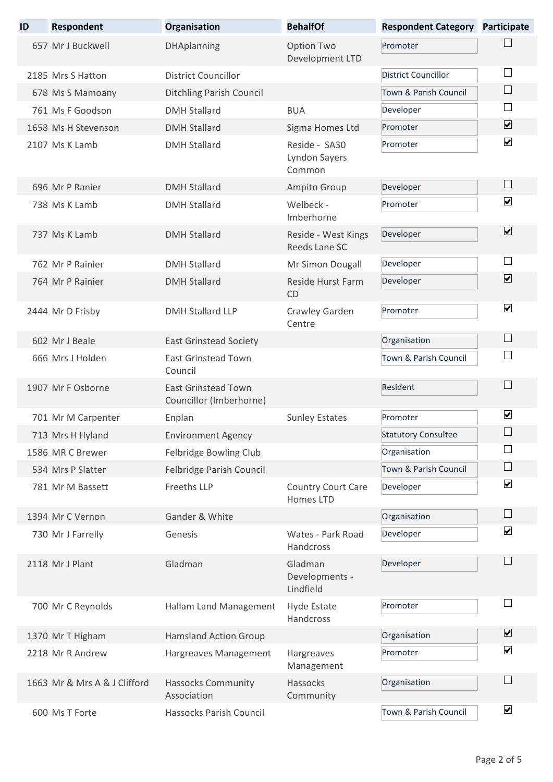| ID | <b>Respondent</b>            | Organisation                                          | <b>BehalfOf</b>                                 | <b>Respondent Category</b> | <b>Participate</b>       |
|----|------------------------------|-------------------------------------------------------|-------------------------------------------------|----------------------------|--------------------------|
|    | 657 Mr J Buckwell            | <b>DHAplanning</b>                                    | Option Two<br>Development LTD                   | Promoter                   |                          |
|    | 2185 Mrs S Hatton            | <b>District Councillor</b>                            |                                                 | <b>District Councillor</b> |                          |
|    | 678 Ms S Mamoany             | <b>Ditchling Parish Council</b>                       |                                                 | Town & Parish Council      | $\overline{\phantom{a}}$ |
|    | 761 Ms F Goodson             | <b>DMH Stallard</b>                                   | <b>BUA</b>                                      | Developer                  |                          |
|    | 1658 Ms H Stevenson          | <b>DMH Stallard</b>                                   | Sigma Homes Ltd                                 | Promoter                   | $\overline{\mathbf{v}}$  |
|    | 2107 Ms K Lamb               | <b>DMH Stallard</b>                                   | Reside - SA30<br><b>Lyndon Sayers</b><br>Common | Promoter                   | $\blacktriangledown$     |
|    | 696 Mr P Ranier              | <b>DMH Stallard</b>                                   | Ampito Group                                    | Developer                  | $\Box$                   |
|    | 738 Ms K Lamb                | <b>DMH Stallard</b>                                   | Welbeck -<br>Imberhorne                         | Promoter                   | $\blacktriangledown$     |
|    | 737 Ms K Lamb                | <b>DMH Stallard</b>                                   | Reside - West Kings<br>Reeds Lane SC            | Developer                  | $\overline{\mathbf{v}}$  |
|    | 762 Mr P Rainier             | <b>DMH Stallard</b>                                   | Mr Simon Dougall                                | Developer                  |                          |
|    | 764 Mr P Rainier             | <b>DMH Stallard</b>                                   | Reside Hurst Farm<br>CD                         | Developer                  | $\blacktriangledown$     |
|    | 2444 Mr D Frisby             | <b>DMH Stallard LLP</b>                               | Crawley Garden<br>Centre                        | Promoter                   | $\blacktriangledown$     |
|    | 602 Mr J Beale               | <b>East Grinstead Society</b>                         |                                                 | Organisation               |                          |
|    | 666 Mrs J Holden             | <b>East Grinstead Town</b><br>Council                 |                                                 | Town & Parish Council      |                          |
|    | 1907 Mr F Osborne            | <b>East Grinstead Town</b><br>Councillor (Imberhorne) |                                                 | Resident                   |                          |
|    | 701 Mr M Carpenter           | Enplan                                                | <b>Sunley Estates</b>                           | Promoter                   | $\blacktriangledown$     |
|    | 713 Mrs H Hyland             | <b>Environment Agency</b>                             |                                                 | <b>Statutory Consultee</b> |                          |
|    | 1586 MR C Brewer             | Felbridge Bowling Club                                |                                                 | Organisation               |                          |
|    | 534 Mrs P Slatter            | Felbridge Parish Council                              |                                                 | Town & Parish Council      | ∟                        |
|    | 781 Mr M Bassett             | Freeths LLP                                           | <b>Country Court Care</b><br>Homes LTD          | Developer                  | $\overline{\mathbf{v}}$  |
|    | 1394 Mr C Vernon             | Gander & White                                        |                                                 | Organisation               | └                        |
|    | 730 Mr J Farrelly            | Genesis                                               | Wates - Park Road<br>Handcross                  | Developer                  | $\blacktriangledown$     |
|    | 2118 Mr J Plant              | Gladman                                               | Gladman<br>Developments -<br>Lindfield          | Developer                  |                          |
|    | 700 Mr C Reynolds            | Hallam Land Management                                | Hyde Estate<br>Handcross                        | Promoter                   |                          |
|    | 1370 Mr T Higham             | <b>Hamsland Action Group</b>                          |                                                 | Organisation               | $\blacktriangledown$     |
|    | 2218 Mr R Andrew             | Hargreaves Management                                 | Hargreaves<br>Management                        | Promoter                   | $\blacktriangledown$     |
|    | 1663 Mr & Mrs A & J Clifford | <b>Hassocks Community</b><br>Association              | Hassocks<br>Community                           | Organisation               |                          |
|    | 600 Ms T Forte               | Hassocks Parish Council                               |                                                 | Town & Parish Council      | $\blacktriangledown$     |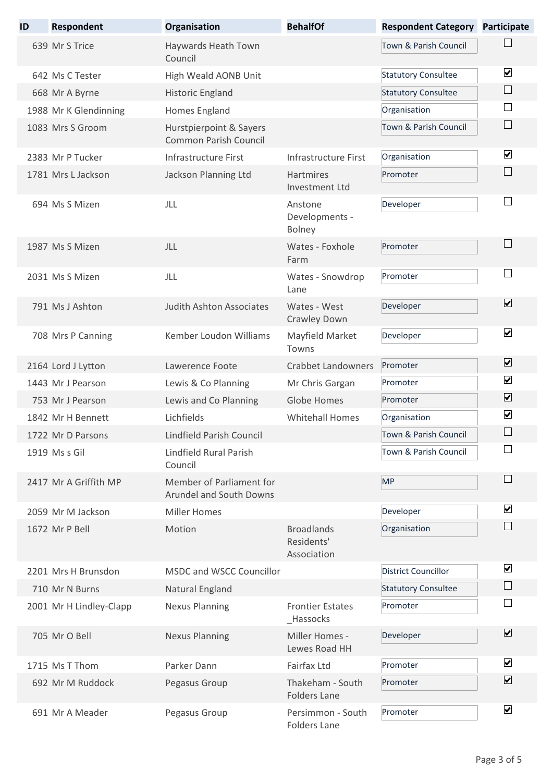| ID | <b>Respondent</b>       | Organisation                                               | <b>BehalfOf</b>                                | <b>Respondent Category</b> | <b>Participate</b>      |
|----|-------------------------|------------------------------------------------------------|------------------------------------------------|----------------------------|-------------------------|
|    | 639 Mr S Trice          | Haywards Heath Town<br>Council                             |                                                | Town & Parish Council      |                         |
|    | 642 Ms C Tester         | High Weald AONB Unit                                       |                                                | <b>Statutory Consultee</b> | $\blacktriangledown$    |
|    | 668 Mr A Byrne          | Historic England                                           |                                                | <b>Statutory Consultee</b> | $\Box$                  |
|    | 1988 Mr K Glendinning   | Homes England                                              |                                                | Organisation               |                         |
|    | 1083 Mrs S Groom        | Hurstpierpoint & Sayers<br><b>Common Parish Council</b>    |                                                | Town & Parish Council      | $\sqcup$                |
|    | 2383 Mr P Tucker        | Infrastructure First                                       | Infrastructure First                           | Organisation               | $\blacktriangledown$    |
|    | 1781 Mrs L Jackson      | Jackson Planning Ltd                                       | Hartmires<br>Investment Ltd                    | Promoter                   |                         |
|    | 694 Ms S Mizen          | JLL                                                        | Anstone<br>Developments -<br><b>Bolney</b>     | Developer                  |                         |
|    | 1987 Ms S Mizen         | JLL                                                        | Wates - Foxhole<br>Farm                        | Promoter                   |                         |
|    | 2031 Ms S Mizen         | JLL                                                        | Wates - Snowdrop<br>Lane                       | Promoter                   |                         |
|    | 791 Ms J Ashton         | <b>Judith Ashton Associates</b>                            | Wates - West<br>Crawley Down                   | Developer                  | $\blacktriangledown$    |
|    | 708 Mrs P Canning       | Kember Loudon Williams                                     | Mayfield Market<br>Towns                       | Developer                  | $\blacktriangledown$    |
|    | 2164 Lord J Lytton      | Lawerence Foote                                            | <b>Crabbet Landowners</b>                      | Promoter                   | $\overline{\mathbf{v}}$ |
|    | 1443 Mr J Pearson       | Lewis & Co Planning                                        | Mr Chris Gargan                                | Promoter                   | $\blacktriangledown$    |
|    | 753 Mr J Pearson        | Lewis and Co Planning                                      | Globe Homes                                    | Promoter                   | $\overline{\mathbf{v}}$ |
|    | 1842 Mr H Bennett       | Lichfields                                                 | <b>Whitehall Homes</b>                         | Organisation               | $\blacktriangledown$    |
|    | 1722 Mr D Parsons       | Lindfield Parish Council                                   |                                                | Town & Parish Council      |                         |
|    | 1919 Ms s Gil           | Lindfield Rural Parish<br>Council                          |                                                | Town & Parish Council      |                         |
|    | 2417 Mr A Griffith MP   | Member of Parliament for<br><b>Arundel and South Downs</b> |                                                | <b>MP</b>                  |                         |
|    | 2059 Mr M Jackson       | <b>Miller Homes</b>                                        |                                                | Developer                  | $\blacktriangledown$    |
|    | 1672 Mr P Bell          | Motion                                                     | <b>Broadlands</b><br>Residents'<br>Association | Organisation               |                         |
|    | 2201 Mrs H Brunsdon     | <b>MSDC and WSCC Councillor</b>                            |                                                | <b>District Councillor</b> | $\blacktriangledown$    |
|    | 710 Mr N Burns          | Natural England                                            |                                                | <b>Statutory Consultee</b> |                         |
|    | 2001 Mr H Lindley-Clapp | <b>Nexus Planning</b>                                      | <b>Frontier Estates</b><br>_Hassocks           | Promoter                   |                         |
|    | 705 Mr O Bell           | <b>Nexus Planning</b>                                      | Miller Homes -<br>Lewes Road HH                | Developer                  | $\blacktriangledown$    |
|    | 1715 Ms T Thom          | Parker Dann                                                | <b>Fairfax Ltd</b>                             | Promoter                   | $\overline{\mathbf{v}}$ |
|    | 692 Mr M Ruddock        | Pegasus Group                                              | Thakeham - South<br><b>Folders Lane</b>        | Promoter                   | $\overline{\mathbf{v}}$ |
|    | 691 Mr A Meader         | Pegasus Group                                              | Persimmon - South<br><b>Folders Lane</b>       | Promoter                   | $\blacktriangledown$    |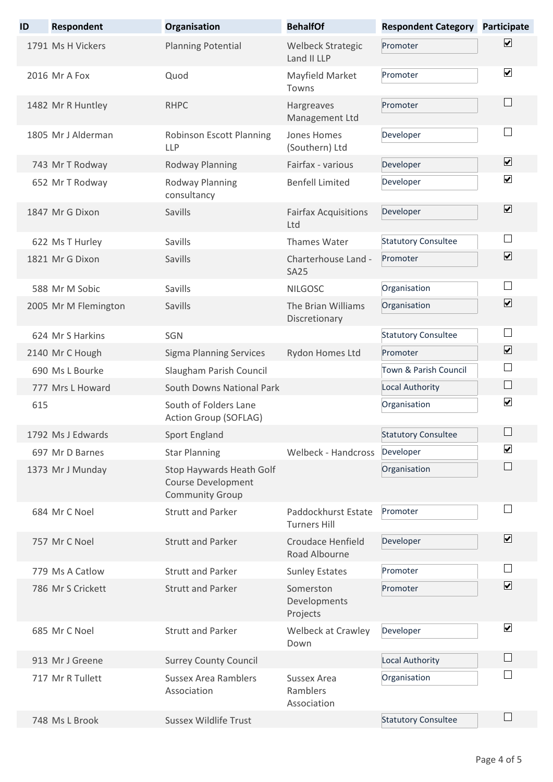| ID  | Respondent           | Organisation                                                                    | <b>BehalfOf</b>                            | <b>Respondent Category Participate</b> |                             |
|-----|----------------------|---------------------------------------------------------------------------------|--------------------------------------------|----------------------------------------|-----------------------------|
|     | 1791 Ms H Vickers    | <b>Planning Potential</b>                                                       | <b>Welbeck Strategic</b><br>Land II LLP    | Promoter                               | $\blacktriangledown$        |
|     | 2016 Mr A Fox        | Quod                                                                            | Mayfield Market<br>Towns                   | Promoter                               | $\blacktriangledown$        |
|     | 1482 Mr R Huntley    | <b>RHPC</b>                                                                     | Hargreaves<br>Management Ltd               | Promoter                               |                             |
|     | 1805 Mr J Alderman   | Robinson Escott Planning<br><b>LLP</b>                                          | Jones Homes<br>(Southern) Ltd              | Developer                              |                             |
|     | 743 Mr T Rodway      | Rodway Planning                                                                 | Fairfax - various                          | Developer                              | $\overline{\mathbf{v}}$     |
|     | 652 Mr T Rodway      | Rodway Planning<br>consultancy                                                  | <b>Benfell Limited</b>                     | Developer                              | $\blacktriangledown$        |
|     | 1847 Mr G Dixon      | Savills                                                                         | <b>Fairfax Acquisitions</b><br>Ltd         | Developer                              | $\overline{\mathbf{v}}$     |
|     | 622 Ms T Hurley      | Savills                                                                         | Thames Water                               | <b>Statutory Consultee</b>             | $\sim$                      |
|     | 1821 Mr G Dixon      | Savills                                                                         | Charterhouse Land -<br><b>SA25</b>         | Promoter                               | $\blacktriangledown$        |
|     | 588 Mr M Sobic       | Savills                                                                         | <b>NILGOSC</b>                             | Organisation                           |                             |
|     | 2005 Mr M Flemington | Savills                                                                         | The Brian Williams<br>Discretionary        | Organisation                           | $\blacktriangledown$        |
|     | 624 Mr S Harkins     | SGN                                                                             |                                            | <b>Statutory Consultee</b>             |                             |
|     | 2140 Mr C Hough      | <b>Sigma Planning Services</b>                                                  | Rydon Homes Ltd                            | Promoter                               | $\blacktriangledown$        |
|     | 690 Ms L Bourke      | Slaugham Parish Council                                                         |                                            | Town & Parish Council                  | ×                           |
|     | 777 Mrs L Howard     | South Downs National Park                                                       |                                            | Local Authority                        | $\mathcal{L}_{\mathcal{A}}$ |
| 615 |                      | South of Folders Lane<br>Action Group (SOFLAG)                                  |                                            | Organisation                           | $\blacktriangledown$        |
|     | 1792 Ms LEdwards     | Sport England                                                                   |                                            | <b>Statutory Consultee</b>             |                             |
|     | 697 Mr D Barnes      | <b>Star Planning</b>                                                            | Welbeck - Handcross                        | Developer                              | $\blacktriangledown$        |
|     | 1373 Mr J Munday     | Stop Haywards Heath Golf<br><b>Course Development</b><br><b>Community Group</b> |                                            | Organisation                           |                             |
|     | 684 Mr C Noel        | <b>Strutt and Parker</b>                                                        | Paddockhurst Estate<br><b>Turners Hill</b> | Promoter                               |                             |
|     | 757 Mr C Noel        | <b>Strutt and Parker</b>                                                        | <b>Croudace Henfield</b><br>Road Albourne  | Developer                              | $\overline{\mathbf{v}}$     |
|     | 779 Ms A Catlow      | <b>Strutt and Parker</b>                                                        | <b>Sunley Estates</b>                      | Promoter                               |                             |
|     | 786 Mr S Crickett    | <b>Strutt and Parker</b>                                                        | Somerston<br>Developments<br>Projects      | Promoter                               | $\overline{\mathbf{v}}$     |
|     | 685 Mr C Noel        | <b>Strutt and Parker</b>                                                        | Welbeck at Crawley<br>Down                 | Developer                              | $\blacktriangledown$        |
|     | 913 Mr J Greene      | <b>Surrey County Council</b>                                                    |                                            | Local Authority                        |                             |
|     | 717 Mr R Tullett     | <b>Sussex Area Ramblers</b><br>Association                                      | Sussex Area<br>Ramblers<br>Association     | Organisation                           |                             |
|     | 748 Ms L Brook       | <b>Sussex Wildlife Trust</b>                                                    |                                            | <b>Statutory Consultee</b>             |                             |